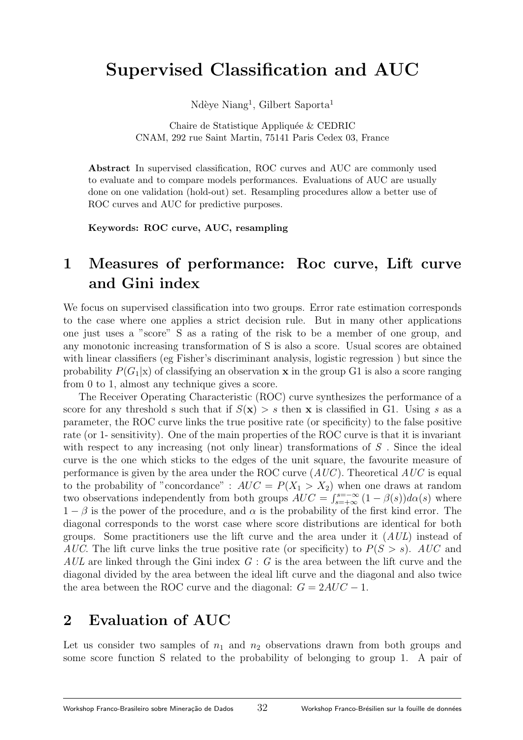# Supervised Classification and AUC

Ndèye Niang<sup>1</sup>, Gilbert Saporta<sup>1</sup>

Chaire de Statistique Appliquée & CEDRIC CNAM, 292 rue Saint Martin, 75141 Paris Cedex 03, France

Abstract In supervised classification, ROC curves and AUC are commonly used to evaluate and to compare models performances. Evaluations of AUC are usually done on one validation (hold-out) set. Resampling procedures allow a better use of ROC curves and AUC for predictive purposes.

Keywords: ROC curve, AUC, resampling

## 1 Measures of performance: Roc curve, Lift curve and Gini index

We focus on supervised classification into two groups. Error rate estimation corresponds to the case where one applies a strict decision rule. But in many other applications one just uses a "score" S as a rating of the risk to be a member of one group, and any monotonic increasing transformation of S is also a score. Usual scores are obtained with linear classifiers (eg Fisher's discriminant analysis, logistic regression ) but since the probability  $P(G_1|x)$  of classifying an observation **x** in the group G1 is also a score ranging from 0 to 1, almost any technique gives a score.

The Receiver Operating Characteristic (ROC) curve synthesizes the performance of a score for any threshold s such that if  $S(\mathbf{x}) > s$  then **x** is classified in G1. Using s as a parameter, the ROC curve links the true positive rate (or specificity) to the false positive rate (or 1- sensitivity). One of the main properties of the ROC curve is that it is invariant with respect to any increasing (not only linear) transformations of  $S$ . Since the ideal curve is the one which sticks to the edges of the unit square, the favourite measure of performance is given by the area under the ROC curve  $(AUC)$ . Theoretical  $AUC$  is equal to the probability of "concordance" :  $AUC = P(X_1 > X_2)$  when one draws at random two observations independently from both groups  $AUC = \int_{s=+\infty}^{s=-\infty} (1-\beta(s))d\alpha(s)$  where  $1 - \beta$  is the power of the procedure, and  $\alpha$  is the probability of the first kind error. The diagonal corresponds to the worst case where score distributions are identical for both groups. Some practitioners use the lift curve and the area under it  $(AUL)$  instead of AUC. The lift curve links the true positive rate (or specificity) to  $P(S > s)$ . AUC and AUL are linked through the Gini index  $G : G$  is the area between the lift curve and the diagonal divided by the area between the ideal lift curve and the diagonal and also twice the area between the ROC curve and the diagonal:  $G = 2AUC - 1$ .

#### 2 Evaluation of AUC

Let us consider two samples of  $n_1$  and  $n_2$  observations drawn from both groups and some score function S related to the probability of belonging to group 1. A pair of